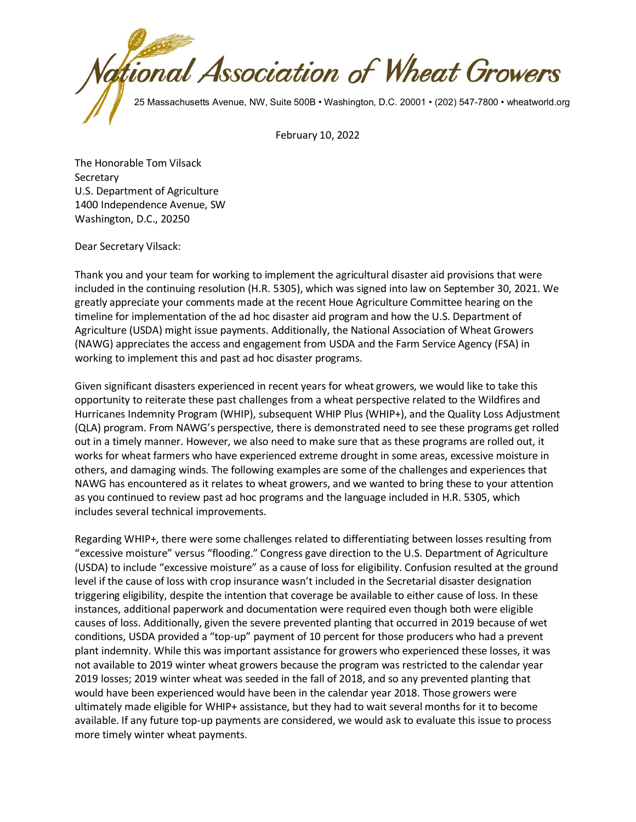

February 10, 2022

The Honorable Tom Vilsack **Secretary** U.S. Department of Agriculture 1400 Independence Avenue, SW Washington, D.C., 20250

Dear Secretary Vilsack:

Thank you and your team for working to implement the agricultural disaster aid provisions that were included in the continuing resolution (H.R. 5305), which was signed into law on September 30, 2021. We greatly appreciate your comments made at the recent Houe Agriculture Committee hearing on the timeline for implementation of the ad hoc disaster aid program and how the U.S. Department of Agriculture (USDA) might issue payments. Additionally, the National Association of Wheat Growers (NAWG) appreciates the access and engagement from USDA and the Farm Service Agency (FSA) in working to implement this and past ad hoc disaster programs.

Given significant disasters experienced in recent years for wheat growers, we would like to take this opportunity to reiterate these past challenges from a wheat perspective related to the Wildfires and Hurricanes Indemnity Program (WHIP), subsequent WHIP Plus (WHIP+), and the Quality Loss Adjustment (QLA) program. From NAWG's perspective, there is demonstrated need to see these programs get rolled out in a timely manner. However, we also need to make sure that as these programs are rolled out, it works for wheat farmers who have experienced extreme drought in some areas, excessive moisture in others, and damaging winds. The following examples are some of the challenges and experiences that NAWG has encountered as it relates to wheat growers, and we wanted to bring these to your attention as you continued to review past ad hoc programs and the language included in H.R. 5305, which includes several technical improvements.

Regarding WHIP+, there were some challenges related to differentiating between losses resulting from "excessive moisture" versus "flooding." Congress gave direction to the U.S. Department of Agriculture (USDA) to include "excessive moisture" as a cause of loss for eligibility. Confusion resulted at the ground level if the cause of loss with crop insurance wasn't included in the Secretarial disaster designation triggering eligibility, despite the intention that coverage be available to either cause of loss. In these instances, additional paperwork and documentation were required even though both were eligible causes of loss. Additionally, given the severe prevented planting that occurred in 2019 because of wet conditions, USDA provided a "top-up" payment of 10 percent for those producers who had a prevent plant indemnity. While this was important assistance for growers who experienced these losses, it was not available to 2019 winter wheat growers because the program was restricted to the calendar year 2019 losses; 2019 winter wheat was seeded in the fall of 2018, and so any prevented planting that would have been experienced would have been in the calendar year 2018. Those growers were ultimately made eligible for WHIP+ assistance, but they had to wait several months for it to become available. If any future top-up payments are considered, we would ask to evaluate this issue to process more timely winter wheat payments.